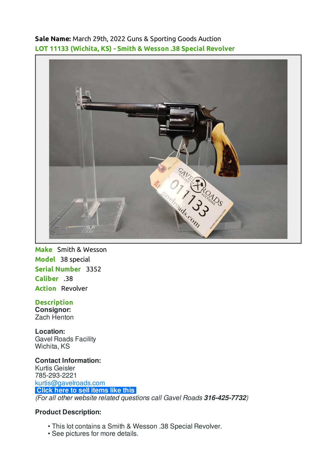**Sale Name:** March 29th, 2022 Guns & Sporting Goods Auction **LOT 11133 (Wichita, KS) - Smith & Wesson .38 Special Revolver**



**Make** Smith & Wesson **Model** 38 special **Serial Number** 3352 **Caliber** .38 **Action** Revolver

## **Description**

**Consignor:** Zach Henton

**Location:** Gavel Roads Facility Wichita, KS

**Contact Information:** Kurtis Geisler 785-293-2221 [kurtis@gavelroads.com](mailto:kurtis@gavelroads.com) **[Click here to sell items like this](https://www.gavelroads.com/contact-us)** (For all other website related questions call Gavel Roads **316-425-7732**)

## **Product Description:**

- This lot contains a Smith & Wesson .38 Special Revolver. •
- See pictures for more details.